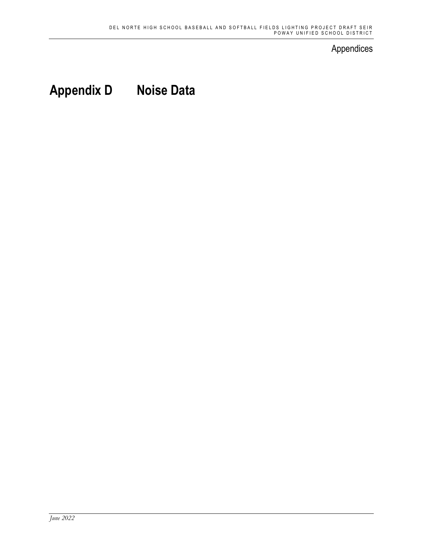## Appendices

# **Appendix D Noise Data**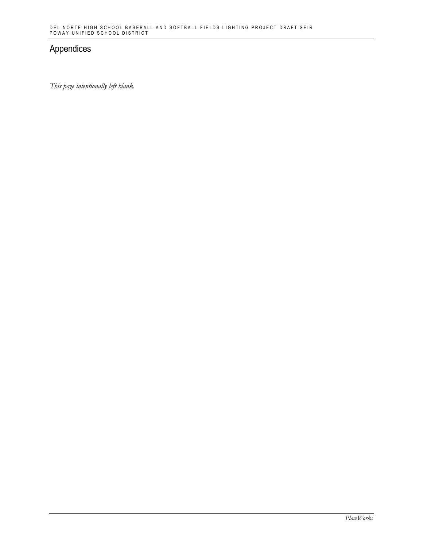## Appendices

*This page intentionally left blank.*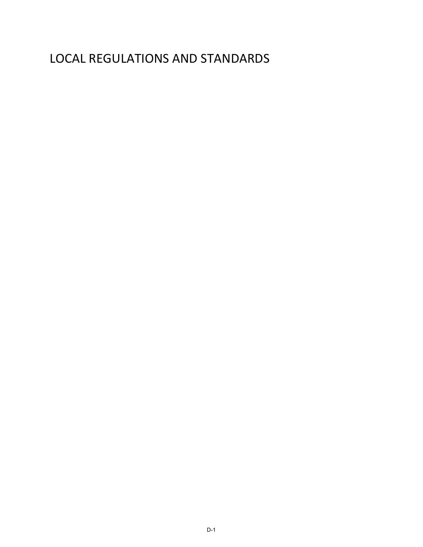## LOCAL REGULATIONS AND STANDARDS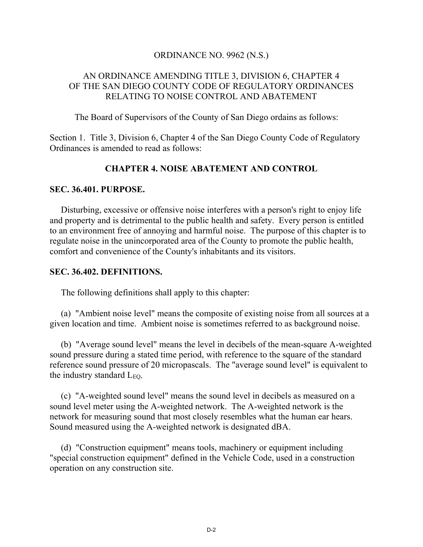#### ORDINANCE NO. 9962 (N.S.)

## AN ORDINANCE AMENDING TITLE 3, DIVISION 6, CHAPTER 4 OF THE SAN DIEGO COUNTY CODE OF REGULATORY ORDINANCES RELATING TO NOISE CONTROL AND ABATEMENT

The Board of Supervisors of the County of San Diego ordains as follows:

Section 1. Title 3, Division 6, Chapter 4 of the San Diego County Code of Regulatory Ordinances is amended to read as follows:

## **CHAPTER 4. NOISE ABATEMENT AND CONTROL**

#### **SEC. 36.401. PURPOSE.**

 Disturbing, excessive or offensive noise interferes with a person's right to enjoy life and property and is detrimental to the public health and safety. Every person is entitled to an environment free of annoying and harmful noise. The purpose of this chapter is to regulate noise in the unincorporated area of the County to promote the public health, comfort and convenience of the County's inhabitants and its visitors.

#### **SEC. 36.402. DEFINITIONS.**

The following definitions shall apply to this chapter:

(a) "Ambient noise level" means the composite of existing noise from all sources at a given location and time. Ambient noise is sometimes referred to as background noise.

(b) "Average sound level" means the level in decibels of the mean-square A-weighted sound pressure during a stated time period, with reference to the square of the standard reference sound pressure of 20 micropascals. The "average sound level" is equivalent to the industry standard  $L_{EO}$ .

(c) "A-weighted sound level" means the sound level in decibels as measured on a sound level meter using the A-weighted network. The A-weighted network is the network for measuring sound that most closely resembles what the human ear hears. Sound measured using the A-weighted network is designated dBA.

(d) "Construction equipment" means tools, machinery or equipment including "special construction equipment" defined in the Vehicle Code, used in a construction operation on any construction site.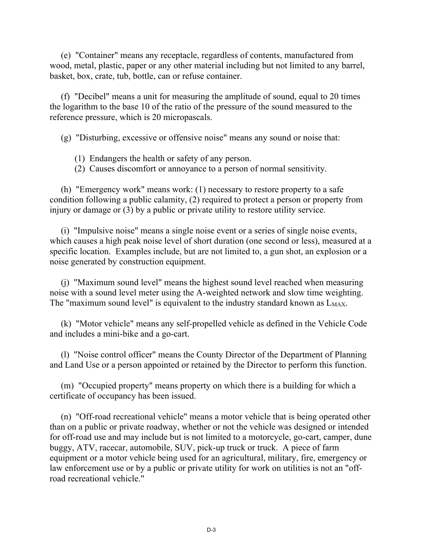(e) "Container" means any receptacle, regardless of contents, manufactured from wood, metal, plastic, paper or any other material including but not limited to any barrel, basket, box, crate, tub, bottle, can or refuse container.

(f) "Decibel" means a unit for measuring the amplitude of sound, equal to 20 times the logarithm to the base 10 of the ratio of the pressure of the sound measured to the reference pressure, which is 20 micropascals.

(g) "Disturbing, excessive or offensive noise" means any sound or noise that:

- (1) Endangers the health or safety of any person.
- (2) Causes discomfort or annoyance to a person of normal sensitivity.

(h) "Emergency work" means work: (1) necessary to restore property to a safe condition following a public calamity, (2) required to protect a person or property from injury or damage or (3) by a public or private utility to restore utility service.

(i) "Impulsive noise" means a single noise event or a series of single noise events, which causes a high peak noise level of short duration (one second or less), measured at a specific location. Examples include, but are not limited to, a gun shot, an explosion or a noise generated by construction equipment.

(j) "Maximum sound level" means the highest sound level reached when measuring noise with a sound level meter using the A-weighted network and slow time weighting. The "maximum sound level" is equivalent to the industry standard known as  $L_{MAX}$ .

(k) "Motor vehicle" means any self-propelled vehicle as defined in the Vehicle Code and includes a mini-bike and a go-cart.

(l) "Noise control officer" means the County Director of the Department of Planning and Land Use or a person appointed or retained by the Director to perform this function.

(m) "Occupied property" means property on which there is a building for which a certificate of occupancy has been issued.

(n) "Off-road recreational vehicle" means a motor vehicle that is being operated other than on a public or private roadway, whether or not the vehicle was designed or intended for off-road use and may include but is not limited to a motorcycle, go-cart, camper, dune buggy, ATV, racecar, automobile, SUV, pick-up truck or truck. A piece of farm equipment or a motor vehicle being used for an agricultural, military, fire, emergency or law enforcement use or by a public or private utility for work on utilities is not an "offroad recreational vehicle."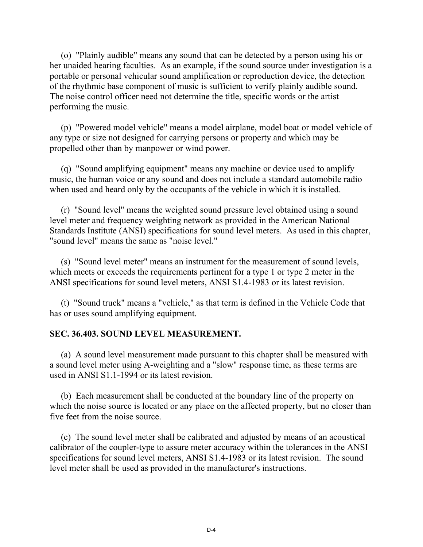(o) "Plainly audible" means any sound that can be detected by a person using his or her unaided hearing faculties. As an example, if the sound source under investigation is a portable or personal vehicular sound amplification or reproduction device, the detection of the rhythmic base component of music is sufficient to verify plainly audible sound. The noise control officer need not determine the title, specific words or the artist performing the music.

 (p) "Powered model vehicle" means a model airplane, model boat or model vehicle of any type or size not designed for carrying persons or property and which may be propelled other than by manpower or wind power.

 (q) "Sound amplifying equipment" means any machine or device used to amplify music, the human voice or any sound and does not include a standard automobile radio when used and heard only by the occupants of the vehicle in which it is installed.

 (r) "Sound level" means the weighted sound pressure level obtained using a sound level meter and frequency weighting network as provided in the American National Standards Institute (ANSI) specifications for sound level meters. As used in this chapter, "sound level" means the same as "noise level."

 (s) "Sound level meter" means an instrument for the measurement of sound levels, which meets or exceeds the requirements pertinent for a type 1 or type 2 meter in the ANSI specifications for sound level meters, ANSI S1.4-1983 or its latest revision.

 (t) "Sound truck" means a "vehicle," as that term is defined in the Vehicle Code that has or uses sound amplifying equipment.

#### **SEC. 36.403. SOUND LEVEL MEASUREMENT.**

 (a) A sound level measurement made pursuant to this chapter shall be measured with a sound level meter using A-weighting and a "slow" response time, as these terms are used in ANSI S1.1-1994 or its latest revision.

 (b) Each measurement shall be conducted at the boundary line of the property on which the noise source is located or any place on the affected property, but no closer than five feet from the noise source.

 (c) The sound level meter shall be calibrated and adjusted by means of an acoustical calibrator of the coupler-type to assure meter accuracy within the tolerances in the ANSI specifications for sound level meters, ANSI S1.4-1983 or its latest revision. The sound level meter shall be used as provided in the manufacturer's instructions.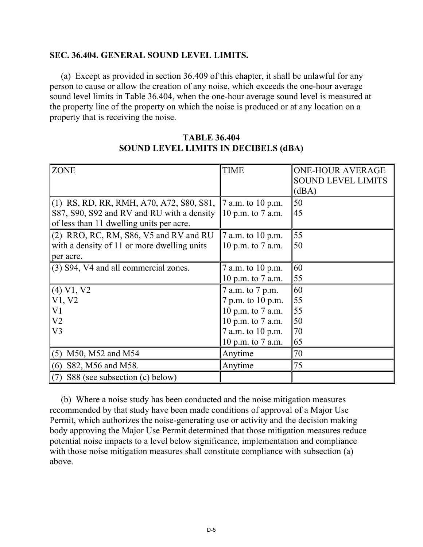#### **SEC. 36.404. GENERAL SOUND LEVEL LIMITS.**

 (a) Except as provided in section 36.409 of this chapter, it shall be unlawful for any person to cause or allow the creation of any noise, which exceeds the one-hour average sound level limits in Table 36.404, when the one-hour average sound level is measured at the property line of the property on which the noise is produced or at any location on a property that is receiving the noise.

| <b>ZONE</b>                                 | <b>TIME</b>         | <b>ONE-HOUR AVERAGE</b>   |
|---------------------------------------------|---------------------|---------------------------|
|                                             |                     | <b>SOUND LEVEL LIMITS</b> |
|                                             |                     | (dBA)                     |
|                                             |                     |                           |
| (1) RS, RD, RR, RMH, A70, A72, S80, S81,    | 7 a.m. to 10 p.m.   | 50                        |
| S87, S90, S92 and RV and RU with a density  | 10 p.m. to $7$ a.m. | 45                        |
| of less than 11 dwelling units per acre.    |                     |                           |
| (2) RRO, RC, RM, S86, V5 and RV and RU      | 7 a.m. to 10 p.m.   | 55                        |
| with a density of 11 or more dwelling units | 10 p.m. to 7 a.m.   | 50                        |
| per acre.                                   |                     |                           |
| (3) S94, V4 and all commercial zones.       | 7 a.m. to 10 p.m.   | 60                        |
|                                             | 10 p.m. to 7 a.m.   | 55                        |
| (4) V1, V2                                  | 7 a.m. to 7 p.m.    | 60                        |
| V1, V2                                      | 7 p.m. to 10 p.m.   | 55                        |
| V <sub>1</sub>                              | 10 p.m. to 7 a.m.   | 55                        |
| V <sub>2</sub>                              | 10 p.m. to 7 a.m.   | 50                        |
| V <sub>3</sub>                              | 7 a.m. to 10 p.m.   | 70                        |
|                                             | 10 p.m. to 7 a.m.   | 65                        |
| $(5)$ M50, M52 and M54                      | Anytime             | 70                        |
| S82, M56 and M58.<br>(6)                    | Anytime             | 75                        |
| S88 (see subsection (c) below)<br>(7)       |                     |                           |

**TABLE 36.404 SOUND LEVEL LIMITS IN DECIBELS (dBA)** 

 (b) Where a noise study has been conducted and the noise mitigation measures recommended by that study have been made conditions of approval of a Major Use Permit, which authorizes the noise-generating use or activity and the decision making body approving the Major Use Permit determined that those mitigation measures reduce potential noise impacts to a level below significance, implementation and compliance with those noise mitigation measures shall constitute compliance with subsection (a) above.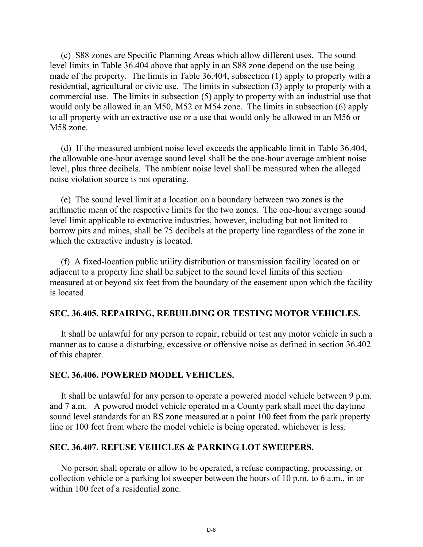(c) S88 zones are Specific Planning Areas which allow different uses. The sound level limits in Table 36.404 above that apply in an S88 zone depend on the use being made of the property. The limits in Table 36.404, subsection (1) apply to property with a residential, agricultural or civic use. The limits in subsection (3) apply to property with a commercial use. The limits in subsection (5) apply to property with an industrial use that would only be allowed in an M50, M52 or M54 zone. The limits in subsection (6) apply to all property with an extractive use or a use that would only be allowed in an M56 or M58 zone.

 (d) If the measured ambient noise level exceeds the applicable limit in Table 36.404, the allowable one-hour average sound level shall be the one-hour average ambient noise level, plus three decibels. The ambient noise level shall be measured when the alleged noise violation source is not operating.

 (e) The sound level limit at a location on a boundary between two zones is the arithmetic mean of the respective limits for the two zones. The one-hour average sound level limit applicable to extractive industries, however, including but not limited to borrow pits and mines, shall be 75 decibels at the property line regardless of the zone in which the extractive industry is located.

 (f) A fixed-location public utility distribution or transmission facility located on or adjacent to a property line shall be subject to the sound level limits of this section measured at or beyond six feet from the boundary of the easement upon which the facility is located.

#### **SEC. 36.405. REPAIRING, REBUILDING OR TESTING MOTOR VEHICLES.**

 It shall be unlawful for any person to repair, rebuild or test any motor vehicle in such a manner as to cause a disturbing, excessive or offensive noise as defined in section 36.402 of this chapter.

#### **SEC. 36.406. POWERED MODEL VEHICLES.**

 It shall be unlawful for any person to operate a powered model vehicle between 9 p.m. and 7 a.m. A powered model vehicle operated in a County park shall meet the daytime sound level standards for an RS zone measured at a point 100 feet from the park property line or 100 feet from where the model vehicle is being operated, whichever is less.

#### **SEC. 36.407. REFUSE VEHICLES & PARKING LOT SWEEPERS.**

 No person shall operate or allow to be operated, a refuse compacting, processing, or collection vehicle or a parking lot sweeper between the hours of 10 p.m. to 6 a.m., in or within 100 feet of a residential zone.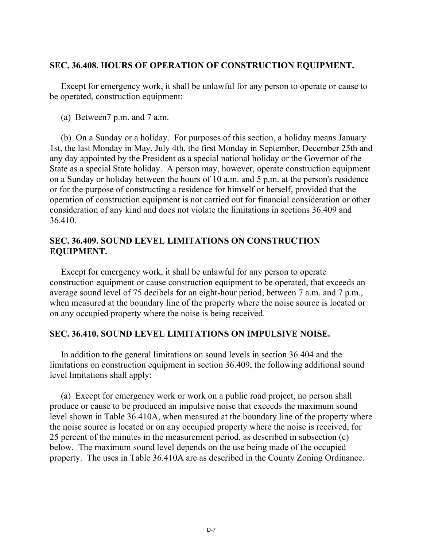### **SEC. 36.408. HOURS OF OPERATION OF CONSTRUCTION EQUIPMENT.**

 Except for emergency work, it shall be unlawful for any person to operate or cause to be operated, construction equipment:

(a) Between7 p.m. and 7 a.m.

 (b) On a Sunday or a holiday. For purposes of this section, a holiday means January 1st, the last Monday in May, July 4th, the first Monday in September, December 25th and any day appointed by the President as a special national holiday or the Governor of the State as a special State holiday. A person may, however, operate construction equipment on a Sunday or holiday between the hours of 10 a.m. and 5 p.m. at the person's residence or for the purpose of constructing a residence for himself or herself, provided that the operation of construction equipment is not carried out for financial consideration or other consideration of any kind and does not violate the limitations in sections 36.409 and 36.410.

## **SEC. 36.409. SOUND LEVEL LIMITATIONS ON CONSTRUCTION EQUIPMENT.**

 Except for emergency work, it shall be unlawful for any person to operate construction equipment or cause construction equipment to be operated, that exceeds an average sound level of 75 decibels for an eight-hour period, between 7 a.m. and 7 p.m., when measured at the boundary line of the property where the noise source is located or on any occupied property where the noise is being received.

## **SEC. 36.410. SOUND LEVEL LIMITATIONS ON IMPULSIVE NOISE.**

 In addition to the general limitations on sound levels in section 36.404 and the limitations on construction equipment in section 36.409, the following additional sound level limitations shall apply:

 (a) Except for emergency work or work on a public road project, no person shall produce or cause to be produced an impulsive noise that exceeds the maximum sound level shown in Table 36.410A, when measured at the boundary line of the property where the noise source is located or on any occupied property where the noise is received, for 25 percent of the minutes in the measurement period, as described in subsection (c) below. The maximum sound level depends on the use being made of the occupied property. The uses in Table 36.410A are as described in the County Zoning Ordinance.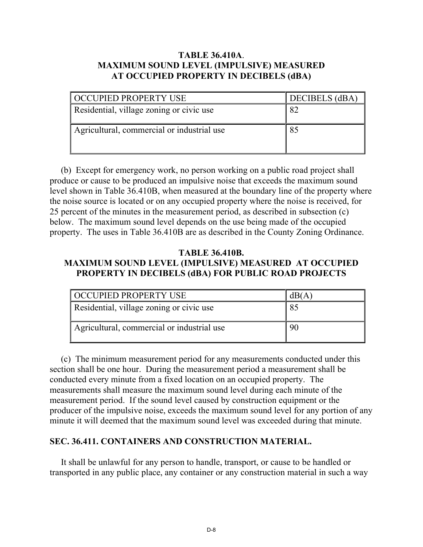## **TABLE 36.410A**. **MAXIMUM SOUND LEVEL (IMPULSIVE) MEASURED AT OCCUPIED PROPERTY IN DECIBELS (dBA)**

| OCCUPIED PROPERTY USE                      | DECIBELS (dBA) |
|--------------------------------------------|----------------|
| Residential, village zoning or civic use   | 82             |
| Agricultural, commercial or industrial use | 85             |

 (b) Except for emergency work, no person working on a public road project shall produce or cause to be produced an impulsive noise that exceeds the maximum sound level shown in Table 36.410B, when measured at the boundary line of the property where the noise source is located or on any occupied property where the noise is received, for 25 percent of the minutes in the measurement period, as described in subsection (c) below. The maximum sound level depends on the use being made of the occupied property. The uses in Table 36.410B are as described in the County Zoning Ordinance.

## **TABLE 36.410B. MAXIMUM SOUND LEVEL (IMPULSIVE) MEASURED AT OCCUPIED PROPERTY IN DECIBELS (dBA) FOR PUBLIC ROAD PROJECTS**

| <b>OCCUPIED PROPERTY USE</b>               | dB(A) |
|--------------------------------------------|-------|
| Residential, village zoning or civic use   | 85    |
| Agricultural, commercial or industrial use | 90    |

 (c) The minimum measurement period for any measurements conducted under this section shall be one hour. During the measurement period a measurement shall be conducted every minute from a fixed location on an occupied property. The measurements shall measure the maximum sound level during each minute of the measurement period. If the sound level caused by construction equipment or the producer of the impulsive noise, exceeds the maximum sound level for any portion of any minute it will deemed that the maximum sound level was exceeded during that minute.

## **SEC. 36.411. CONTAINERS AND CONSTRUCTION MATERIAL.**

 It shall be unlawful for any person to handle, transport, or cause to be handled or transported in any public place, any container or any construction material in such a way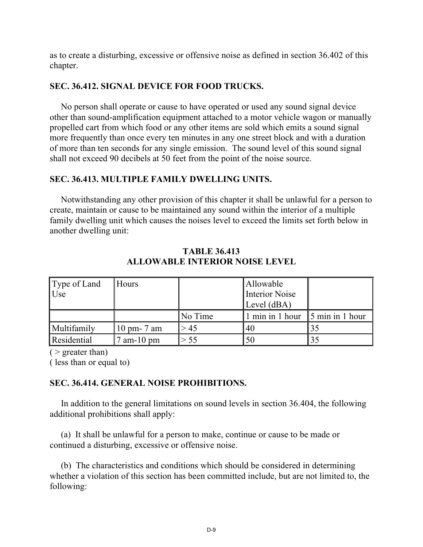as to create a disturbing, excessive or offensive noise as defined in section 36.402 of this chapter.

#### **SEC. 36.412. SIGNAL DEVICE FOR FOOD TRUCKS.**

 No person shall operate or cause to have operated or used any sound signal device other than sound-amplification equipment attached to a motor vehicle wagon or manually propelled cart from which food or any other items are sold which emits a sound signal more frequently than once every ten minutes in any one street block and with a duration of more than ten seconds for any single emission. The sound level of this sound signal shall not exceed 90 decibels at 50 feet from the point of the noise source.

#### **SEC. 36.413. MULTIPLE FAMILY DWELLING UNITS.**

 Notwithstanding any other provision of this chapter it shall be unlawful for a person to create, maintain or cause to be maintained any sound within the interior of a multiple family dwelling unit which causes the noises level to exceed the limits set forth below in another dwelling unit:

| Type of Land | Hours                  |         | Allowable                               |  |
|--------------|------------------------|---------|-----------------------------------------|--|
| Use          |                        |         | Interior Noise                          |  |
|              |                        |         | Level (dBA)                             |  |
|              |                        | No Time | 1 min in 1 hour $\vert$ 5 min in 1 hour |  |
| Multifamily  | $10 \text{ pm}$ - 7 am | > 45    | '40                                     |  |
| Residential  | $'$ am-10 pm           | > 55    | 50                                      |  |

**TABLE 36.413 ALLOWABLE INTERIOR NOISE LEVEL**

 $($  > greater than)

( less than or equal to)

#### **SEC. 36.414. GENERAL NOISE PROHIBITIONS.**

 In addition to the general limitations on sound levels in section 36.404, the following additional prohibitions shall apply:

 (a) It shall be unlawful for a person to make, continue or cause to be made or continued a disturbing, excessive or offensive noise.

 (b) The characteristics and conditions which should be considered in determining whether a violation of this section has been committed include, but are not limited to, the following: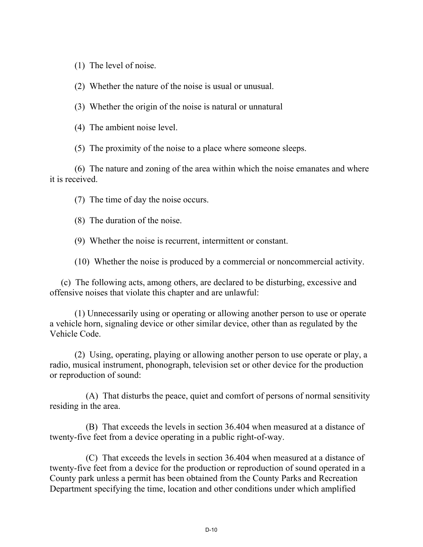(1) The level of noise.

(2) Whether the nature of the noise is usual or unusual.

(3) Whether the origin of the noise is natural or unnatural

(4) The ambient noise level.

(5) The proximity of the noise to a place where someone sleeps.

 (6) The nature and zoning of the area within which the noise emanates and where it is received.

(7) The time of day the noise occurs.

(8) The duration of the noise.

(9) Whether the noise is recurrent, intermittent or constant.

(10) Whether the noise is produced by a commercial or noncommercial activity.

 (c) The following acts, among others, are declared to be disturbing, excessive and offensive noises that violate this chapter and are unlawful:

 (1) Unnecessarily using or operating or allowing another person to use or operate a vehicle horn, signaling device or other similar device, other than as regulated by the Vehicle Code.

 (2) Using, operating, playing or allowing another person to use operate or play, a radio, musical instrument, phonograph, television set or other device for the production or reproduction of sound:

 (A) That disturbs the peace, quiet and comfort of persons of normal sensitivity residing in the area.

 (B) That exceeds the levels in section 36.404 when measured at a distance of twenty-five feet from a device operating in a public right-of-way.

 (C) That exceeds the levels in section 36.404 when measured at a distance of twenty-five feet from a device for the production or reproduction of sound operated in a County park unless a permit has been obtained from the County Parks and Recreation Department specifying the time, location and other conditions under which amplified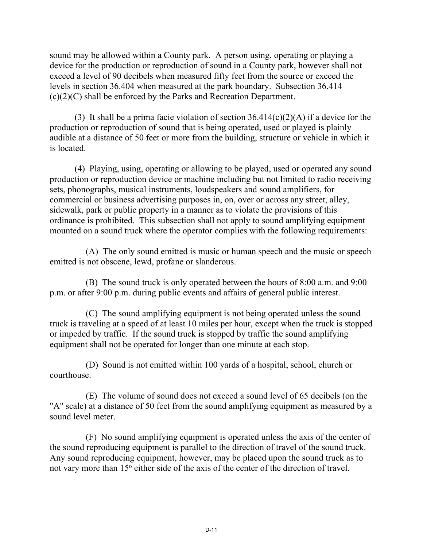sound may be allowed within a County park. A person using, operating or playing a device for the production or reproduction of sound in a County park, however shall not exceed a level of 90 decibels when measured fifty feet from the source or exceed the levels in section 36.404 when measured at the park boundary. Subsection 36.414 (c)(2)(C) shall be enforced by the Parks and Recreation Department.

(3) It shall be a prima facie violation of section  $36.414(c)(2)(A)$  if a device for the production or reproduction of sound that is being operated, used or played is plainly audible at a distance of 50 feet or more from the building, structure or vehicle in which it is located.

 (4) Playing, using, operating or allowing to be played, used or operated any sound production or reproduction device or machine including but not limited to radio receiving sets, phonographs, musical instruments, loudspeakers and sound amplifiers, for commercial or business advertising purposes in, on, over or across any street, alley, sidewalk, park or public property in a manner as to violate the provisions of this ordinance is prohibited. This subsection shall not apply to sound amplifying equipment mounted on a sound truck where the operator complies with the following requirements:

 (A) The only sound emitted is music or human speech and the music or speech emitted is not obscene, lewd, profane or slanderous.

 (B) The sound truck is only operated between the hours of 8:00 a.m. and 9:00 p.m. or after 9:00 p.m. during public events and affairs of general public interest.

 (C) The sound amplifying equipment is not being operated unless the sound truck is traveling at a speed of at least 10 miles per hour, except when the truck is stopped or impeded by traffic. If the sound truck is stopped by traffic the sound amplifying equipment shall not be operated for longer than one minute at each stop.

 (D) Sound is not emitted within 100 yards of a hospital, school, church or courthouse.

 (E) The volume of sound does not exceed a sound level of 65 decibels (on the "A" scale) at a distance of 50 feet from the sound amplifying equipment as measured by a sound level meter.

 (F) No sound amplifying equipment is operated unless the axis of the center of the sound reproducing equipment is parallel to the direction of travel of the sound truck. Any sound reproducing equipment, however, may be placed upon the sound truck as to not vary more than 15<sup>°</sup> either side of the axis of the center of the direction of travel.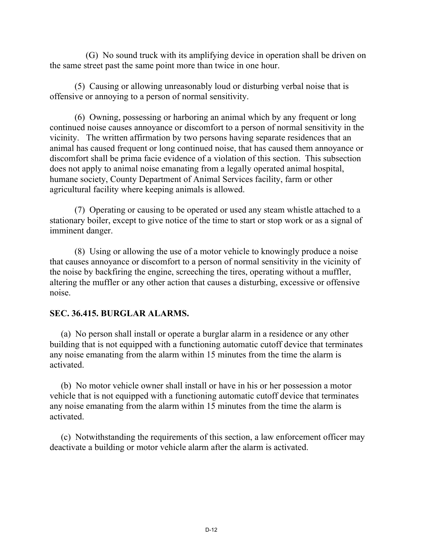(G) No sound truck with its amplifying device in operation shall be driven on the same street past the same point more than twice in one hour.

 (5) Causing or allowing unreasonably loud or disturbing verbal noise that is offensive or annoying to a person of normal sensitivity.

 (6) Owning, possessing or harboring an animal which by any frequent or long continued noise causes annoyance or discomfort to a person of normal sensitivity in the vicinity. The written affirmation by two persons having separate residences that an animal has caused frequent or long continued noise, that has caused them annoyance or discomfort shall be prima facie evidence of a violation of this section. This subsection does not apply to animal noise emanating from a legally operated animal hospital, humane society, County Department of Animal Services facility, farm or other agricultural facility where keeping animals is allowed.

 (7) Operating or causing to be operated or used any steam whistle attached to a stationary boiler, except to give notice of the time to start or stop work or as a signal of imminent danger.

 (8) Using or allowing the use of a motor vehicle to knowingly produce a noise that causes annoyance or discomfort to a person of normal sensitivity in the vicinity of the noise by backfiring the engine, screeching the tires, operating without a muffler, altering the muffler or any other action that causes a disturbing, excessive or offensive noise.

#### **SEC. 36.415. BURGLAR ALARMS.**

 (a) No person shall install or operate a burglar alarm in a residence or any other building that is not equipped with a functioning automatic cutoff device that terminates any noise emanating from the alarm within 15 minutes from the time the alarm is activated.

 (b) No motor vehicle owner shall install or have in his or her possession a motor vehicle that is not equipped with a functioning automatic cutoff device that terminates any noise emanating from the alarm within 15 minutes from the time the alarm is activated.

 (c) Notwithstanding the requirements of this section, a law enforcement officer may deactivate a building or motor vehicle alarm after the alarm is activated.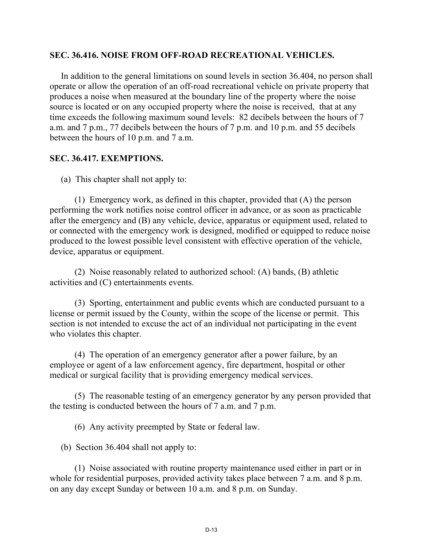#### **SEC. 36.416. NOISE FROM OFF-ROAD RECREATIONAL VEHICLES.**

 In addition to the general limitations on sound levels in section 36.404, no person shall operate or allow the operation of an off-road recreational vehicle on private property that produces a noise when measured at the boundary line of the property where the noise source is located or on any occupied property where the noise is received, that at any time exceeds the following maximum sound levels: 82 decibels between the hours of 7 a.m. and 7 p.m., 77 decibels between the hours of 7 p.m. and 10 p.m. and 55 decibels between the hours of 10 p.m. and 7 a.m.

## **SEC. 36.417. EXEMPTIONS.**

(a) This chapter shall not apply to:

 (1) Emergency work, as defined in this chapter, provided that (A) the person performing the work notifies noise control officer in advance, or as soon as practicable after the emergency and (B) any vehicle, device, apparatus or equipment used, related to or connected with the emergency work is designed, modified or equipped to reduce noise produced to the lowest possible level consistent with effective operation of the vehicle, device, apparatus or equipment.

 (2) Noise reasonably related to authorized school: (A) bands, (B) athletic activities and (C) entertainments events.

 (3) Sporting, entertainment and public events which are conducted pursuant to a license or permit issued by the County, within the scope of the license or permit. This section is not intended to excuse the act of an individual not participating in the event who violates this chapter.

 (4) The operation of an emergency generator after a power failure, by an employee or agent of a law enforcement agency, fire department, hospital or other medical or surgical facility that is providing emergency medical services.

 (5) The reasonable testing of an emergency generator by any person provided that the testing is conducted between the hours of 7 a.m. and 7 p.m.

(6) Any activity preempted by State or federal law.

(b) Section 36.404 shall not apply to:

 (1) Noise associated with routine property maintenance used either in part or in whole for residential purposes, provided activity takes place between 7 a.m. and 8 p.m. on any day except Sunday or between 10 a.m. and 8 p.m. on Sunday.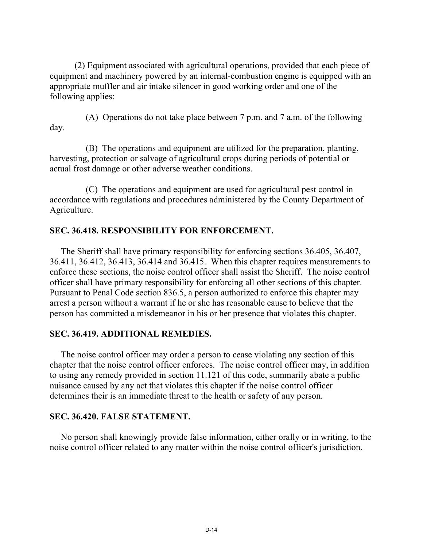(2) Equipment associated with agricultural operations, provided that each piece of equipment and machinery powered by an internal-combustion engine is equipped with an appropriate muffler and air intake silencer in good working order and one of the following applies:

 (A) Operations do not take place between 7 p.m. and 7 a.m. of the following day.

 (B) The operations and equipment are utilized for the preparation, planting, harvesting, protection or salvage of agricultural crops during periods of potential or actual frost damage or other adverse weather conditions.

 (C) The operations and equipment are used for agricultural pest control in accordance with regulations and procedures administered by the County Department of Agriculture.

## **SEC. 36.418. RESPONSIBILITY FOR ENFORCEMENT.**

 The Sheriff shall have primary responsibility for enforcing sections 36.405, 36.407, 36.411, 36.412, 36.413, 36.414 and 36.415. When this chapter requires measurements to enforce these sections, the noise control officer shall assist the Sheriff. The noise control officer shall have primary responsibility for enforcing all other sections of this chapter. Pursuant to Penal Code section 836.5, a person authorized to enforce this chapter may arrest a person without a warrant if he or she has reasonable cause to believe that the person has committed a misdemeanor in his or her presence that violates this chapter.

#### **SEC. 36.419. ADDITIONAL REMEDIES.**

 The noise control officer may order a person to cease violating any section of this chapter that the noise control officer enforces. The noise control officer may, in addition to using any remedy provided in section 11.121 of this code, summarily abate a public nuisance caused by any act that violates this chapter if the noise control officer determines their is an immediate threat to the health or safety of any person.

#### **SEC. 36.420. FALSE STATEMENT.**

 No person shall knowingly provide false information, either orally or in writing, to the noise control officer related to any matter within the noise control officer's jurisdiction.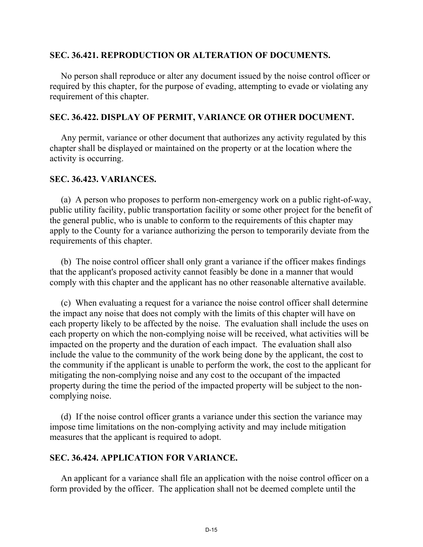#### **SEC. 36.421. REPRODUCTION OR ALTERATION OF DOCUMENTS.**

 No person shall reproduce or alter any document issued by the noise control officer or required by this chapter, for the purpose of evading, attempting to evade or violating any requirement of this chapter.

#### **SEC. 36.422. DISPLAY OF PERMIT, VARIANCE OR OTHER DOCUMENT.**

 Any permit, variance or other document that authorizes any activity regulated by this chapter shall be displayed or maintained on the property or at the location where the activity is occurring.

#### **SEC. 36.423. VARIANCES.**

 (a) A person who proposes to perform non-emergency work on a public right-of-way, public utility facility, public transportation facility or some other project for the benefit of the general public, who is unable to conform to the requirements of this chapter may apply to the County for a variance authorizing the person to temporarily deviate from the requirements of this chapter.

 (b) The noise control officer shall only grant a variance if the officer makes findings that the applicant's proposed activity cannot feasibly be done in a manner that would comply with this chapter and the applicant has no other reasonable alternative available.

 (c) When evaluating a request for a variance the noise control officer shall determine the impact any noise that does not comply with the limits of this chapter will have on each property likely to be affected by the noise. The evaluation shall include the uses on each property on which the non-complying noise will be received, what activities will be impacted on the property and the duration of each impact. The evaluation shall also include the value to the community of the work being done by the applicant, the cost to the community if the applicant is unable to perform the work, the cost to the applicant for mitigating the non-complying noise and any cost to the occupant of the impacted property during the time the period of the impacted property will be subject to the noncomplying noise.

 (d) If the noise control officer grants a variance under this section the variance may impose time limitations on the non-complying activity and may include mitigation measures that the applicant is required to adopt.

#### **SEC. 36.424. APPLICATION FOR VARIANCE.**

 An applicant for a variance shall file an application with the noise control officer on a form provided by the officer. The application shall not be deemed complete until the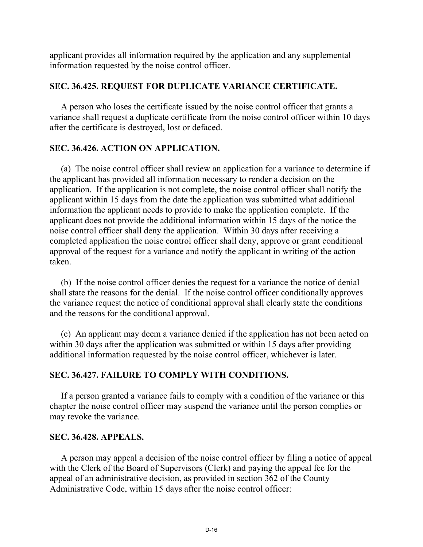applicant provides all information required by the application and any supplemental information requested by the noise control officer.

## **SEC. 36.425. REQUEST FOR DUPLICATE VARIANCE CERTIFICATE.**

 A person who loses the certificate issued by the noise control officer that grants a variance shall request a duplicate certificate from the noise control officer within 10 days after the certificate is destroyed, lost or defaced.

## **SEC. 36.426. ACTION ON APPLICATION.**

 (a) The noise control officer shall review an application for a variance to determine if the applicant has provided all information necessary to render a decision on the application. If the application is not complete, the noise control officer shall notify the applicant within 15 days from the date the application was submitted what additional information the applicant needs to provide to make the application complete. If the applicant does not provide the additional information within 15 days of the notice the noise control officer shall deny the application. Within 30 days after receiving a completed application the noise control officer shall deny, approve or grant conditional approval of the request for a variance and notify the applicant in writing of the action taken.

 (b) If the noise control officer denies the request for a variance the notice of denial shall state the reasons for the denial. If the noise control officer conditionally approves the variance request the notice of conditional approval shall clearly state the conditions and the reasons for the conditional approval.

 (c) An applicant may deem a variance denied if the application has not been acted on within 30 days after the application was submitted or within 15 days after providing additional information requested by the noise control officer, whichever is later.

## **SEC. 36.427. FAILURE TO COMPLY WITH CONDITIONS.**

 If a person granted a variance fails to comply with a condition of the variance or this chapter the noise control officer may suspend the variance until the person complies or may revoke the variance.

### **SEC. 36.428. APPEALS.**

 A person may appeal a decision of the noise control officer by filing a notice of appeal with the Clerk of the Board of Supervisors (Clerk) and paying the appeal fee for the appeal of an administrative decision, as provided in section 362 of the County Administrative Code, within 15 days after the noise control officer: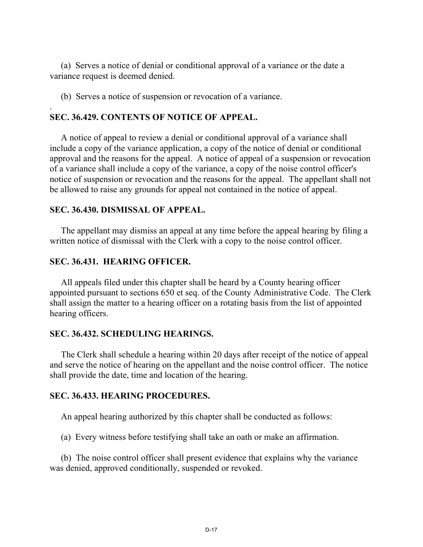(a) Serves a notice of denial or conditional approval of a variance or the date a variance request is deemed denied.

(b) Serves a notice of suspension or revocation of a variance.

#### **SEC. 36.429. CONTENTS OF NOTICE OF APPEAL.**

 A notice of appeal to review a denial or conditional approval of a variance shall include a copy of the variance application, a copy of the notice of denial or conditional approval and the reasons for the appeal. A notice of appeal of a suspension or revocation of a variance shall include a copy of the variance, a copy of the noise control officer's notice of suspension or revocation and the reasons for the appeal. The appellant shall not be allowed to raise any grounds for appeal not contained in the notice of appeal.

#### **SEC. 36.430. DISMISSAL OF APPEAL.**

.

 The appellant may dismiss an appeal at any time before the appeal hearing by filing a written notice of dismissal with the Clerk with a copy to the noise control officer.

#### **SEC. 36.431. HEARING OFFICER.**

 All appeals filed under this chapter shall be heard by a County hearing officer appointed pursuant to sections 650 et seq. of the County Administrative Code. The Clerk shall assign the matter to a hearing officer on a rotating basis from the list of appointed hearing officers.

#### **SEC. 36.432. SCHEDULING HEARINGS.**

 The Clerk shall schedule a hearing within 20 days after receipt of the notice of appeal and serve the notice of hearing on the appellant and the noise control officer. The notice shall provide the date, time and location of the hearing.

#### **SEC. 36.433. HEARING PROCEDURES.**

An appeal hearing authorized by this chapter shall be conducted as follows:

(a) Every witness before testifying shall take an oath or make an affirmation.

 (b) The noise control officer shall present evidence that explains why the variance was denied, approved conditionally, suspended or revoked.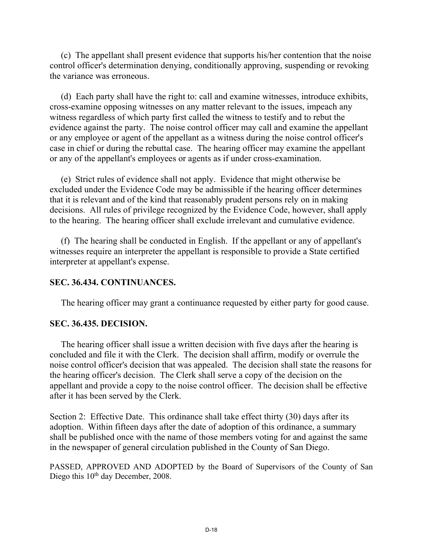(c) The appellant shall present evidence that supports his/her contention that the noise control officer's determination denying, conditionally approving, suspending or revoking the variance was erroneous.

 (d) Each party shall have the right to: call and examine witnesses, introduce exhibits, cross-examine opposing witnesses on any matter relevant to the issues, impeach any witness regardless of which party first called the witness to testify and to rebut the evidence against the party. The noise control officer may call and examine the appellant or any employee or agent of the appellant as a witness during the noise control officer's case in chief or during the rebuttal case. The hearing officer may examine the appellant or any of the appellant's employees or agents as if under cross-examination.

 (e) Strict rules of evidence shall not apply. Evidence that might otherwise be excluded under the Evidence Code may be admissible if the hearing officer determines that it is relevant and of the kind that reasonably prudent persons rely on in making decisions. All rules of privilege recognized by the Evidence Code, however, shall apply to the hearing. The hearing officer shall exclude irrelevant and cumulative evidence.

 (f) The hearing shall be conducted in English. If the appellant or any of appellant's witnesses require an interpreter the appellant is responsible to provide a State certified interpreter at appellant's expense.

#### **SEC. 36.434. CONTINUANCES.**

The hearing officer may grant a continuance requested by either party for good cause.

#### **SEC. 36.435. DECISION.**

 The hearing officer shall issue a written decision with five days after the hearing is concluded and file it with the Clerk. The decision shall affirm, modify or overrule the noise control officer's decision that was appealed. The decision shall state the reasons for the hearing officer's decision. The Clerk shall serve a copy of the decision on the appellant and provide a copy to the noise control officer. The decision shall be effective after it has been served by the Clerk.

Section 2: Effective Date. This ordinance shall take effect thirty (30) days after its adoption. Within fifteen days after the date of adoption of this ordinance, a summary shall be published once with the name of those members voting for and against the same in the newspaper of general circulation published in the County of San Diego.

PASSED, APPROVED AND ADOPTED by the Board of Supervisors of the County of San Diego this  $10<sup>th</sup>$  day December, 2008.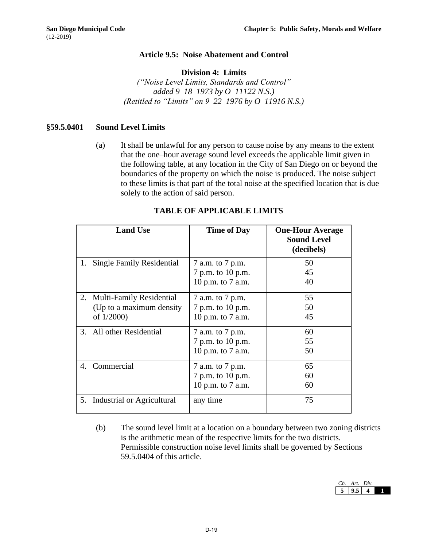#### **Article 9.5: Noise Abatement and Control**

#### **Division 4: Limits**

*("Noise Level Limits, Standards and Control" added 9–18–1973 by O–11122 N.S.) (Retitled to "Limits" on 9–22–1976 by O–11916 N.S.)*

#### **§59.5.0401 Sound Level Limits**

(a) It shall be unlawful for any person to cause noise by any means to the extent that the one–hour average sound level exceeds the applicable limit given in the following table, at any location in the City of San Diego on or beyond the boundaries of the property on which the noise is produced. The noise subject to these limits is that part of the total noise at the specified location that is due solely to the action of said person.

|                          | <b>Land Use</b>                  | <b>Time of Day</b> | <b>One-Hour Average</b><br><b>Sound Level</b><br>(decibels) |
|--------------------------|----------------------------------|--------------------|-------------------------------------------------------------|
| 1.                       | <b>Single Family Residential</b> | 7 a.m. to 7 p.m.   | 50                                                          |
|                          |                                  | 7 p.m. to 10 p.m.  | 45                                                          |
|                          |                                  | 10 p.m. to 7 a.m.  | 40                                                          |
|                          | 2. Multi-Family Residential      | 7 a.m. to 7 p.m.   | 55                                                          |
|                          | (Up to a maximum density)        | 7 p.m. to 10 p.m.  | 50                                                          |
| of 1/2000)               |                                  | 10 p.m. to 7 a.m.  | 45                                                          |
| 3. All other Residential |                                  | 7 a.m. to 7 p.m.   | 60                                                          |
|                          |                                  | 7 p.m. to 10 p.m.  | 55                                                          |
|                          |                                  | 10 p.m. to 7 a.m.  | 50                                                          |
| 4. Commercial            |                                  | 7 a.m. to 7 p.m.   | 65                                                          |
|                          |                                  | 7 p.m. to 10 p.m.  | 60                                                          |
|                          |                                  | 10 p.m. to 7 a.m.  | 60                                                          |
|                          | 5. Industrial or Agricultural    | any time           | 75                                                          |

#### **TABLE OF APPLICABLE LIMITS**

(b) The sound level limit at a location on a boundary between two zoning districts is the arithmetic mean of the respective limits for the two districts. Permissible construction noise level limits shall be governed by Sections 59.5.0404 of this article.

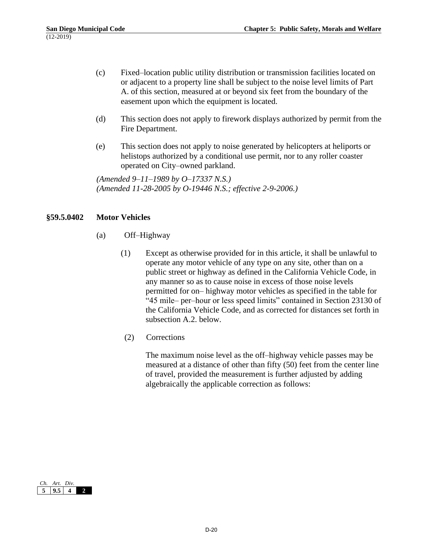- (c) Fixed–location public utility distribution or transmission facilities located on or adjacent to a property line shall be subject to the noise level limits of Part A. of this section, measured at or beyond six feet from the boundary of the easement upon which the equipment is located.
- (d) This section does not apply to firework displays authorized by permit from the Fire Department.
- (e) This section does not apply to noise generated by helicopters at heliports or helistops authorized by a conditional use permit, nor to any roller coaster operated on City–owned parkland.

*(Amended 9–11–1989 by O–17337 N.S.) (Amended 11-28-2005 by O-19446 N.S.; effective 2-9-2006.)*

#### **§59.5.0402 Motor Vehicles**

- (a) Off–Highway
	- (1) Except as otherwise provided for in this article, it shall be unlawful to operate any motor vehicle of any type on any site, other than on a public street or highway as defined in the California Vehicle Code, in any manner so as to cause noise in excess of those noise levels permitted for on– highway motor vehicles as specified in the table for "45 mile– per–hour or less speed limits" contained in Section 23130 of the California Vehicle Code, and as corrected for distances set forth in subsection A.2. below.
	- (2) Corrections

The maximum noise level as the off–highway vehicle passes may be measured at a distance of other than fifty (50) feet from the center line of travel, provided the measurement is further adjusted by adding algebraically the applicable correction as follows:

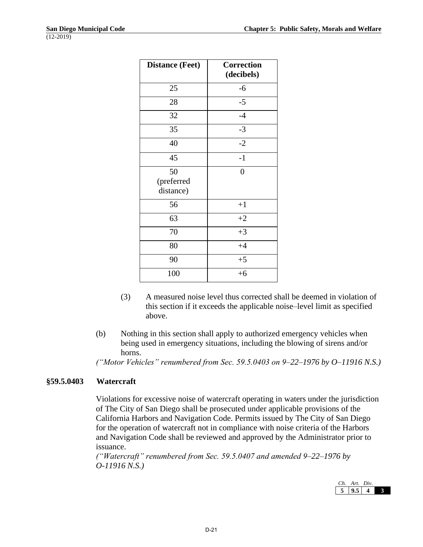| <b>Distance (Feet)</b>        | Correction<br>(decibels) |
|-------------------------------|--------------------------|
| 25                            | $-6$                     |
| 28                            | $-5$                     |
| 32                            | $-4$                     |
| 35                            | $-3$                     |
| 40                            | $-2$                     |
| 45                            | $-1$                     |
| 50<br>(preferred<br>distance) | $\overline{0}$           |
| 56                            | $+1$                     |
| 63                            | $+2$                     |
| 70                            | $+3$                     |
| 80                            | $+4$                     |
| 90                            | $+5$                     |
| 100                           | $+6$                     |

- (3) A measured noise level thus corrected shall be deemed in violation of this section if it exceeds the applicable noise–level limit as specified above.
- (b) Nothing in this section shall apply to authorized emergency vehicles when being used in emergency situations, including the blowing of sirens and/or horns.

*("Motor Vehicles" renumbered from Sec. 59.5.0403 on 9–22–1976 by O–11916 N.S.)*

#### **§59.5.0403 Watercraft**

Violations for excessive noise of watercraft operating in waters under the jurisdiction of The City of San Diego shall be prosecuted under applicable provisions of the California Harbors and Navigation Code. Permits issued by The City of San Diego for the operation of watercraft not in compliance with noise criteria of the Harbors and Navigation Code shall be reviewed and approved by the Administrator prior to issuance.

*("Watercraft" renumbered from Sec. 59.5.0407 and amended 9–22–1976 by O-11916 N.S.)*

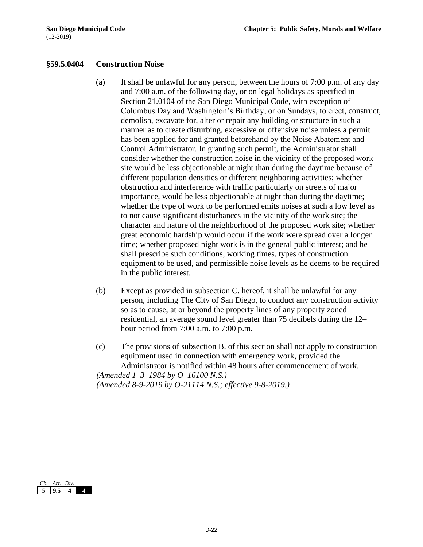#### **§59.5.0404 Construction Noise**

- (a) It shall be unlawful for any person, between the hours of 7:00 p.m. of any day and 7:00 a.m. of the following day, or on legal holidays as specified in Section 21.0104 of the San Diego Municipal Code, with exception of Columbus Day and Washington's Birthday, or on Sundays, to erect, construct, demolish, excavate for, alter or repair any building or structure in such a manner as to create disturbing, excessive or offensive noise unless a permit has been applied for and granted beforehand by the Noise Abatement and Control Administrator. In granting such permit, the Administrator shall consider whether the construction noise in the vicinity of the proposed work site would be less objectionable at night than during the daytime because of different population densities or different neighboring activities; whether obstruction and interference with traffic particularly on streets of major importance, would be less objectionable at night than during the daytime; whether the type of work to be performed emits noises at such a low level as to not cause significant disturbances in the vicinity of the work site; the character and nature of the neighborhood of the proposed work site; whether great economic hardship would occur if the work were spread over a longer time; whether proposed night work is in the general public interest; and he shall prescribe such conditions, working times, types of construction equipment to be used, and permissible noise levels as he deems to be required in the public interest.
- (b) Except as provided in subsection C. hereof, it shall be unlawful for any person, including The City of San Diego, to conduct any construction activity so as to cause, at or beyond the property lines of any property zoned residential, an average sound level greater than 75 decibels during the 12– hour period from 7:00 a.m. to 7:00 p.m.
- (c) The provisions of subsection B. of this section shall not apply to construction equipment used in connection with emergency work, provided the Administrator is notified within 48 hours after commencement of work.

*(Amended 1–3–1984 by O–16100 N.S.) (Amended 8-9-2019 by O-21114 N.S.; effective 9-8-2019.)*

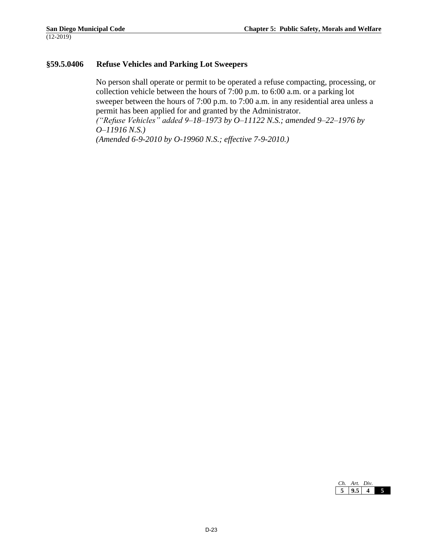#### **§59.5.0406 Refuse Vehicles and Parking Lot Sweepers**

No person shall operate or permit to be operated a refuse compacting, processing, or collection vehicle between the hours of 7:00 p.m. to 6:00 a.m. or a parking lot sweeper between the hours of 7:00 p.m. to 7:00 a.m. in any residential area unless a permit has been applied for and granted by the Administrator. *("Refuse Vehicles" added 9–18–1973 by O–11122 N.S.; amended 9–22–1976 by O–11916 N.S.)*

*(Amended 6-9-2010 by O-19960 N.S.; effective 7-9-2010.)*

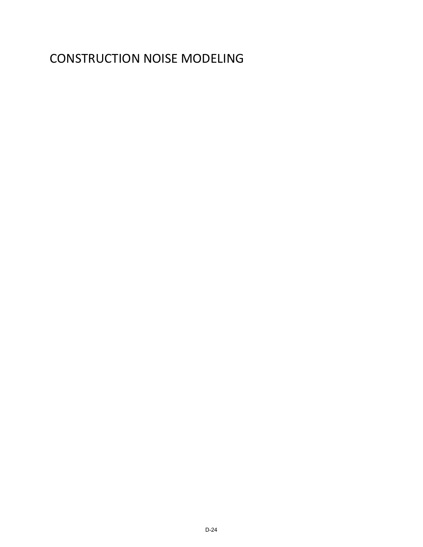## CONSTRUCTION NOISE MODELING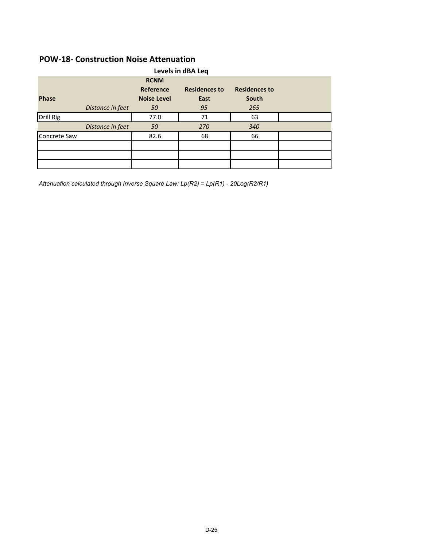## **POW-18- Construction Noise Attenuation**

| Levels in dBA Leq |                  |                    |                      |                      |  |
|-------------------|------------------|--------------------|----------------------|----------------------|--|
|                   |                  | <b>RCNM</b>        |                      |                      |  |
|                   |                  | Reference          | <b>Residences to</b> | <b>Residences to</b> |  |
| <b>Phase</b>      |                  | <b>Noise Level</b> | East                 | South                |  |
|                   | Distance in feet | 50                 | 95                   | 265                  |  |
| Drill Rig         |                  | 77.0               | 71                   | 63                   |  |
|                   | Distance in feet | 50                 | 270                  | 340                  |  |
| Concrete Saw      |                  | 82.6               | 68                   | 66                   |  |
|                   |                  |                    |                      |                      |  |
|                   |                  |                    |                      |                      |  |
|                   |                  |                    |                      |                      |  |

*Attenuation calculated through Inverse Square Law: Lp(R2) = Lp(R1) - 20Log(R2/R1)*